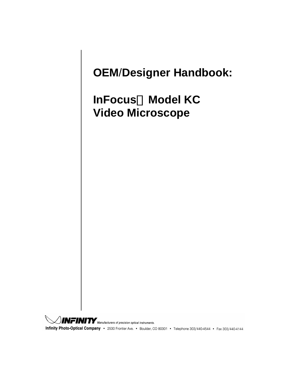## **OEM**/**Designer Handbook:**

## **InFocus Model KC Video Microscope**

 $\hat{J}$  MFINITY  $\hat{J}$  Manufacturers of precision optical instruments. Infinity Photo-Optical Company · 2530 Frontier Ave. · Boulder, CO 80301 · Telephone 303/440-4544 · Fax 303/440-4144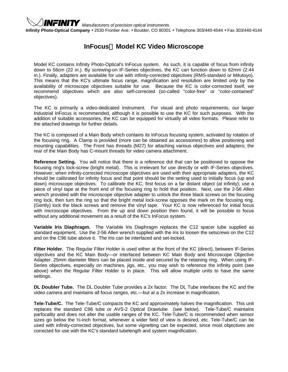

*MFINITY* Manufacturers of precision optical instruments.

**Infinity Photo-Optical Company** • 2530 Frontier Ave. • Boulder, CO 80301 • Telephone 303/440-4544 • Fax 303/440-4144

## **InFocus Model KC Video Microscope**

Model KC contains Infinity Photo-Optical's InFocus system. As such, it is capable of focus from infinity down to 56cm (22 in.). By screwing-on IF-Series objectives, the KC can function down to 62mm (2.44 in.). Finally, adapters are available for use with infinity-corrected objectives (RMS-standard or Mitutoyo). This means that the KC's ultimate focus range, magnification and resolution are limited *only* by the availability of microscope objectives suitable for use. Because the KC is color-corrected itself, we recommend objectives which are also self-corrected (so-called "color-free" or "color-contained" objectives).

The KC is primarily a video-dedicated instrument. For visual and photo requirements, our larger Industrial InFocus is recommended, although it is possible to use the KC for such purposes. With the addition of suitable accessories, the KC can be equipped for virtually all video formats. Please refer to the attached drawings for further details.

The KC is composed of a Main Body which contains its InFocus focusing system, activated by rotation of the focusing ring. A Clamp is provided (more can be obtained as accessories) to allow positioning and mounting capabilities. The Front has threads (M27) for attaching various objectives and adapters; the rear of the Main Body has C-mount threads for video camera attachment.

**Reference Setting.** You will notice that there is a reference dot that can be positioned to oppose the focusing ring's lock-screw (bright metal). This is irrelevant for use directly or with IF-Series objectives. However, when infinity-corrected microscope objectives are used with their appropriate adapters, the KC should be calibrated for infinity focus and that point should be the setting used to initially focus (up and down) microscope objectives. To calibrate the KC, first focus on a far distant object (at infinity); use a piece of vinyl tape at the front end of the focusing ring to hold that position. Next, use the 2-56 Allen wrench provided with the microscope objective adapter to unlock the three black screws on the focusing ring lock, then turn the ring so that the bright metal lock-screw opposes the mark on the focusing ring. (Gently) lock the black screws and remove the vinyl tape. Your KC is now referenced for initial focus with microscope objectives. From the up and down position then found, it will be possible to focus without any additional movement as a result of the KC's InFocus system.

**Variable Iris Diaphragm.** The Variable Iris Diaphragm replaces the C12 spacer tube supplied as standard equipment. Use the 2-56 Allen wrench supplied with the Iris to loosen the setscrews on the C12 and on the C96 tube above it. The Iris can be interfaced and set-locked.

**Filter Holder.** The Regular Filter Holder is used either at the front of the KC (direct), between IF-Series objectives and the KC Main Body—or interfaced between KC Main Body and Microscope Objective Adapter. 25mm diameter filters can be placed inside and secured by the retaining ring. When using IF-Series objectives, especially on machines, jigs, etc., you may wish to reference the infinity point (see above) when the Regular Filter Holder is in place. This will allow multiple units to have the same settings.

**DL Doubler Tube.** The DL Doubler Tube provides a 2x factor. The DL Tube interfaces the KC and the video camera and maintains all focus ranges, etc.—but at a 2x increase in magnification.

**Tele-Tube/C.** The Tele-Tube/C compacts the KC and approximately halves the magnification. This unit replaces the standard C96 tube or AVS-2 Optical Drawtube (see below). Tele-Tube/C maintains parfocality and does not alter the usable ranges of the KC. Tele-Tube/C is recommended when sensor sizes go below the ½-inch format, whenever a wider field of view is desired, etc. Tele-Tube/C can be used with infinity-corrected objectives, but some vignetting can be expected, since most objectives are corrected for use with the KC's standard tubelength and system magnification.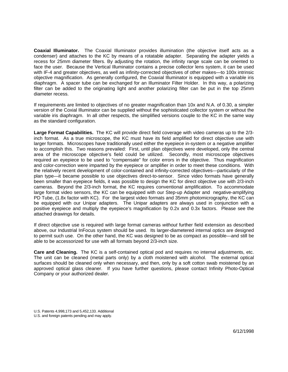**Coaxial Illuminator.** The Coaxial Illuminator provides illumination (the objective itself acts as a condenser) and attaches to the KC by means of a rotatable adapter. Separating the adapter yields a recess for 25mm diameter filters. By adjusting the rotation, the infinity range scale can be oriented to face the user. Because the Vertical Illuminator contains a precise collector lens system, it can be used with IF-4 and greater objectives, as well as infinity-corrected objectives of other makes—to 100x intrinsic objective magnification. As generally configured, the Coaxial Illuminator is equipped with a variable iris diaphragm. A spacer tube can be exchanged for an Illuminator Filter Holder. In this way, a polarizing filter can be added to the originating light and another polarizing filter can be put in the top 25mm diameter recess.

If requirements are limited to objectives of no greater magnification than 10x and N.A. of 0.30, a simpler version of the Coxial Illuminator can be supplied without the sophisticated collector system or without the variable iris diaphragm. In all other respects, the simplified versions couple to the KC in the same way as the standard configuration.

**Large Format Capabilities.** The KC will provide direct field coverage with video cameras up to the 2/3 inch format. As a true microscope, the KC must have its field amplified for direct objective use with larger formats. Microscopes have traditionally used either the eyepiece in-system or a negative amplifier to accomplish this. Two reasons prevailed: First, until plan objectives were developed, only the central area of the microscope objective's field could be utilized. Secondly, most microscope objectives required an eyepiece to be used to "compensate" for color errors in the objective. Thus magnification and color-correction were imparted by the eyepiece or amplifier in order to meet these conditions. With the relatively recent development of color-contained and infinity-corrected objectives—particularly of the plan type—it became possible to use objectives direct-to-sensor. Since video formats have generally been smaller than eyepiece fields, it was possible to design the KC for direct objective use with 2/3-inch cameras. Beyond the 2/3-inch format, the KC requires conventional amplification. To accommodate large format video sensors, the KC can be equipped with our Step-up Adapter and negative-amplifying PD Tube, (1.8x factor with KC). For the largest video formats and 35mm photomicrography, the KC can be equipped with our Unipar adapters. The Unipar adapters are always used in conjunction with a positive eyepiece and multiply the eyepiece's magnification by 0.2x and 0.3x factors. Please see the attached drawings for details.

If direct objective use is required with large format cameras *without* further field extension as described above, our Industrial InFocus system should be used. Its larger-diametered internal optics are designed to permit such use. On the other hand, the KC was designed to be as compact as possible—and still be able to be accessorized for use with all formats beyond 2/3-inch size.

**Care and Cleaning.** The KC is a self-contained optical pod and requires no internal adjustments, etc. The unit can be cleaned (metal parts only) by a cloth moistened with alcohol. The external optical surfaces should be cleaned only when necessary, and then, only by a soft cotton swab moistened by an approved optical glass cleaner. If you have further questions, please contact Infinity Photo-Optical Company or your authorized dealer.

U.S. Patents 4,998,173 and 5,452,133. Additional

U.S. and foreign patents pending and may apply.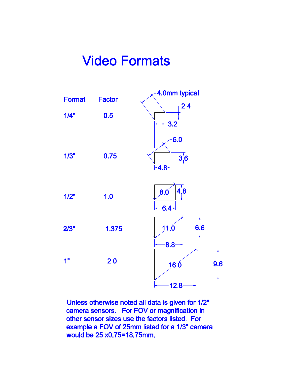## **Video Formats**



Unless otherwise noted all data is given for 1/2" camera sensors. For FOV or magnification in other sensor sizes use the factors listed. For example a FOV of 25mm listed for a 1/3" camera would be 25 x0.75=18.75mm.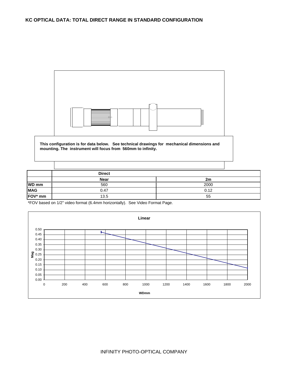

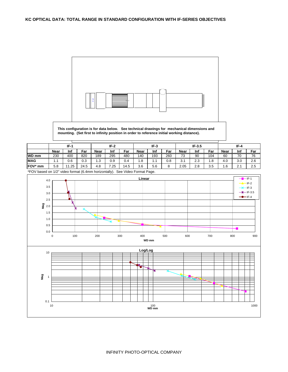

**This configuration is for data below. See technical drawings for mechanical dimensions and mounting. (Set first to infinity position in order to reference initial working distance).**

|                    | $IF-1$ |      |      | $IF-2$      |      |      | $IF-3$      |     |     | $IF-3.5$    |     |               | $IF-4$      |     |     |
|--------------------|--------|------|------|-------------|------|------|-------------|-----|-----|-------------|-----|---------------|-------------|-----|-----|
|                    | Near   | Inf  | Far  | <b>Near</b> | Inf  | Far  | <b>Near</b> | Inf | Far | <b>Near</b> | Inf | Far           | <b>Near</b> | Inf | Far |
| $WD \overline{mm}$ | 230    | 400  | 820  | 189         | 295  | 480  | 140         | 193 | 260 | 73          | 90  | 104           | 60          | 70  | 76  |
| <b>MAG</b>         | ۱.1    | 0.6  | 0.3  | 1.3         | 0.9  | 0.4  | 1.8         | . . | 0.8 | 24<br>.J.I  | 2.3 | 8. ا          | 4.0         | 3.0 | 2.6 |
| FOV* mm            | 5.8    | l.25 | 24.5 | 4.8         | 7.25 | 14.5 | 3.6         | 5.6 | Ö   | 2.05        | 2.8 | -<br>⌒<br>3.5 | 1.6         | 2.1 | 2.5 |

\*FOV based on 1/2" video format (6.4mm horizontally). See Video Format Page.

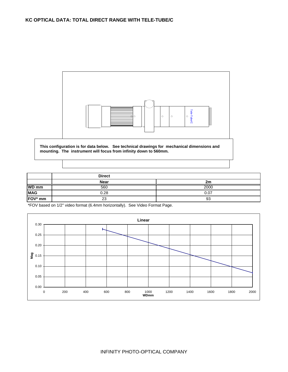

|              | <b>Direct</b> |      |
|--------------|---------------|------|
|              | <b>Near</b>   | 2m   |
| <b>WD</b> mm | 560           | 2000 |
| <b>MAG</b>   | 0.28          | 0.07 |
| FOV* mm      | 23            | 93   |

\*FOV based on 1/2" video format (6.4mm horizontally). See Video Format Page.

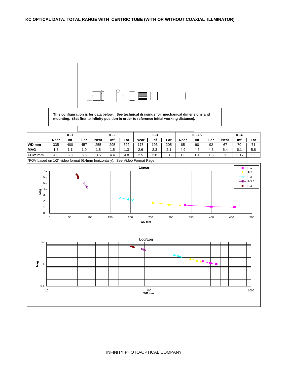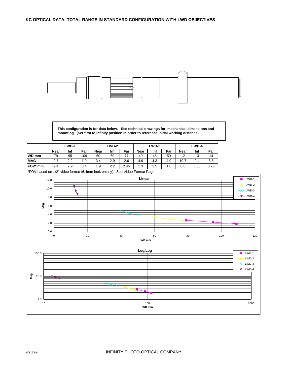

**This configuration is for data below. See technical drawings for mechanical dimensions and mounting. (Set first to infinity position in order to reference initial working distance).**

|                 |             | <b>LWD-1</b> |     | LWD-2       |     |      | LWD-3       |     |     | LWD-4       |      |      |
|-----------------|-------------|--------------|-----|-------------|-----|------|-------------|-----|-----|-------------|------|------|
|                 | <b>Near</b> | Inf          | Far | <b>Near</b> | Inf | Far  | <b>Near</b> | Inf | Far | <b>Near</b> | Inf  | Far  |
| <b>WD mm</b>    | 79          | 95           | 109 | 60          | 69  |      | 40          | 45  | 50  | 12          | 13   | 14   |
| <b>MAG</b>      | 2.7         | 2.2          | 1.9 | 3.4         | 2.9 | 2.6  | 4.9         | 4.3 | 4.0 | 10.7        | 9.4  | 8.8  |
| <b>FOV</b> * mm | 2.4         | 2.9          | 3.4 | 1.9         | 2.2 | 2.45 | 1.3         | 1.5 | 6.ا | 0.6         | 0.68 | 0.73 |

\*FOV based on 1/2" video format (6.4mm horizontally). See Video Format Page.



9/20/99 INFINITY PHOTO-OPTICAL COMPANY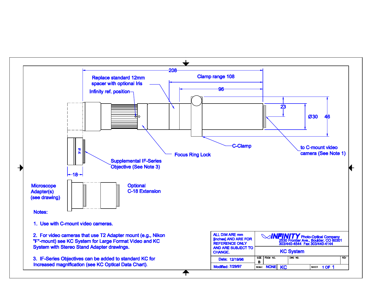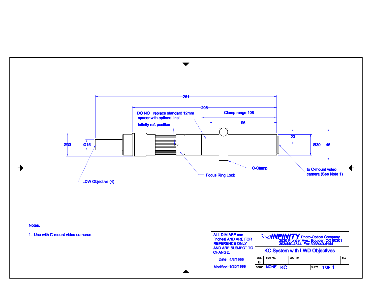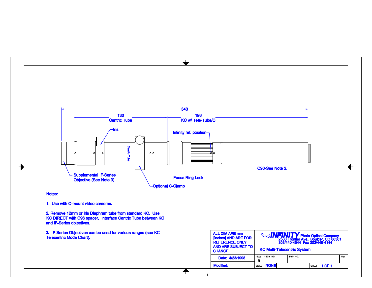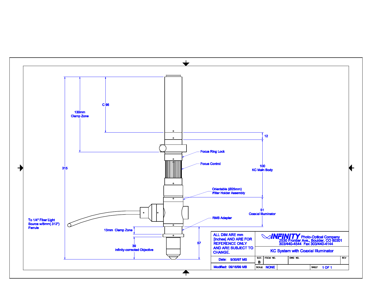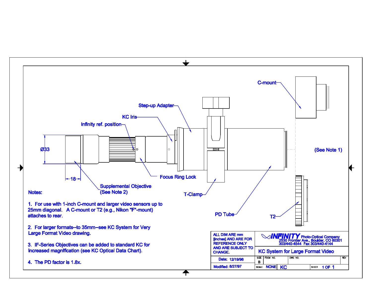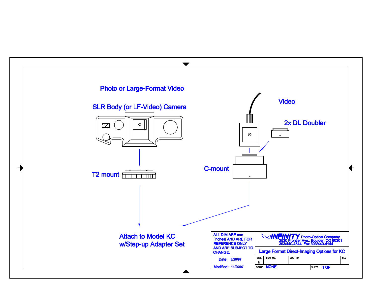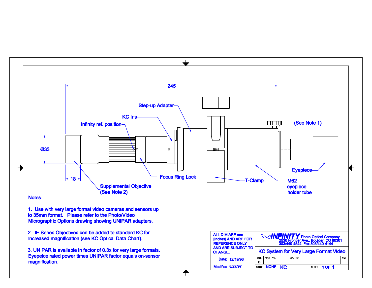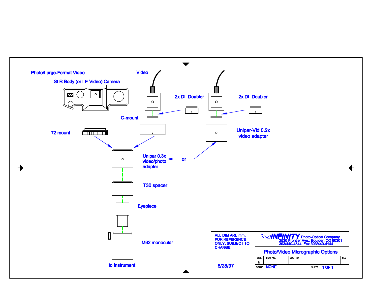